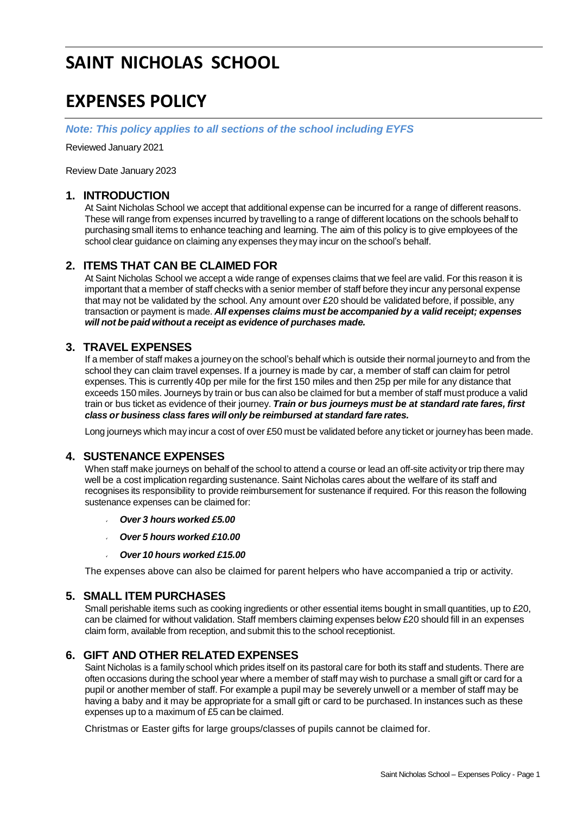# **SAINT NICHOLAS SCHOOL**

## **EXPENSES POLICY**

*Note: This policy applies to all sections of the school including EYFS*

Reviewed January 2021

Review Date January 2023

#### **1. INTRODUCTION**

At Saint Nicholas School we accept that additional expense can be incurred for a range of different reasons. These will range from expenses incurred by travelling to a range of different locations on the schools behalf to purchasing small items to enhance teaching and learning. The aim of this policy is to give employees of the school clear guidance on claiming any expenses they may incur on the school's behalf.

## **2. ITEMS THAT CAN BE CLAIMED FOR**

At Saint Nicholas School we accept a wide range of expenses claims that we feel are valid. For this reason it is important that a member of staff checks with a senior member of staff before they incur any personal expense that may not be validated by the school. Any amount over £20 should be validated before, if possible, any transaction or payment is made. *All expenses claims must be accompanied by a valid receipt; expenses will not be paid without a receipt as evidence of purchases made.*

## **3. TRAVEL EXPENSES**

If a member of staff makes a journeyon the school's behalf which is outside their normal journeyto and from the school they can claim travel expenses. If a journey is made by car, a member of staff can claim for petrol expenses. This is currently 40p per mile for the first 150 miles and then 25p per mile for any distance that exceeds 150 miles. Journeys by train or bus can also be claimed for but a member of staff must produce a valid train or bus ticket as evidence of their journey. *Train or bus journeys must be at standard rate fares, first class or business class fares will only be reimbursed at standard fare rates.*

Long journeys which may incur a cost of over £50 must be validated before any ticket or journeyhas been made.

#### **4. SUSTENANCE EXPENSES**

When staff make journeys on behalf of the school to attend a course or lead an off-site activityor trip there may well be a cost implication regarding sustenance. Saint Nicholas cares about the welfare of its staff and recognises its responsibility to provide reimbursement for sustenance if required. For this reason the following sustenance expenses can be claimed for:

- *Over 3 hours worked £5.00*
- *Over 5 hours worked £10.00*
- *Over 10 hours worked £15.00*

The expenses above can also be claimed for parent helpers who have accompanied a trip or activity.

#### **5. SMALL ITEM PURCHASES**

Small perishable items such as cooking ingredients or other essential items bought in small quantities, up to £20, can be claimed for without validation. Staff members claiming expenses below £20 should fill in an expenses claim form, available from reception, and submit this to the school receptionist.

#### **6. GIFT AND OTHER RELATED EXPENSES**

Saint Nicholas is a family school which prides itself on its pastoral care for both its staff and students. There are often occasions during the school year where a member of staff may wish to purchase a small gift or card for a pupil or another member of staff. For example a pupil may be severely unwell or a member of staff may be having a baby and it may be appropriate for a small gift or card to be purchased. In instances such as these expenses up to a maximum of £5 can be claimed.

Christmas or Easter gifts for large groups/classes of pupils cannot be claimed for.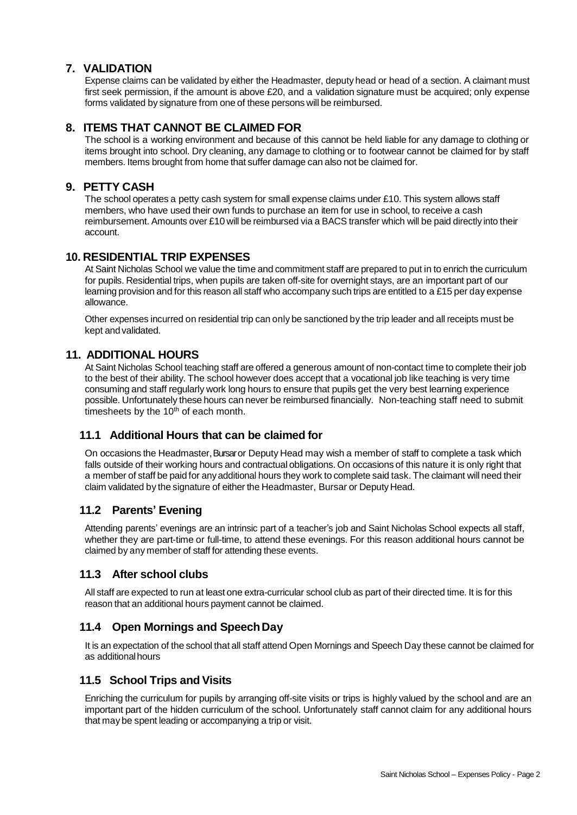## **7. VALIDATION**

Expense claims can be validated by either the Headmaster, deputy head or head of a section. A claimant must first seek permission, if the amount is above £20, and a validation signature must be acquired; only expense forms validated by signature from one of these persons will be reimbursed.

#### **8. ITEMS THAT CANNOT BE CLAIMED FOR**

The school is a working environment and because of this cannot be held liable for any damage to clothing or items brought into school. Dry cleaning, any damage to clothing or to footwear cannot be claimed for by staff members. Items brought from home that suffer damage can also not be claimed for.

#### **9. PETTY CASH**

The school operates a petty cash system for small expense claims under £10. This system allows staff members, who have used their own funds to purchase an item for use in school, to receive a cash reimbursement. Amounts over £10 will be reimbursed via a BACS transfer which will be paid directly into their account.

#### **10. RESIDENTIAL TRIP EXPENSES**

At Saint Nicholas School we value the time and commitment staff are prepared to put in to enrich the curriculum for pupils. Residential trips, when pupils are taken off-site for overnight stays, are an important part of our learning provision and for this reason all staff who accompany such trips are entitled to a £15 per day expense allowance.

Other expenses incurred on residential trip can only be sanctioned by the trip leader and all receipts must be kept and validated.

#### **11. ADDITIONAL HOURS**

At Saint Nicholas School teaching staff are offered a generous amount of non-contact time to complete their job to the best of their ability. The school however does accept that a vocational job like teaching is very time consuming and staff regularly work long hours to ensure that pupils get the very best learning experience possible. Unfortunately these hours can never be reimbursed financially. Non-teaching staff need to submit timesheets by the  $10<sup>th</sup>$  of each month.

#### **11.1 Additional Hours that can be claimed for**

On occasions the Headmaster, Bursar or Deputy Head may wish a member of staff to complete a task which falls outside of their working hours and contractual obligations. On occasions of this nature it is only right that a member of staff be paid for any additional hours they work to complete said task. The claimant will need their claim validated by the signature of either the Headmaster, Bursar or Deputy Head.

#### **11.2 Parents' Evening**

Attending parents' evenings are an intrinsic part of a teacher's job and Saint Nicholas School expects all staff, whether they are part-time or full-time, to attend these evenings. For this reason additional hours cannot be claimed by any member of staff for attending these events.

#### **11.3 After school clubs**

All staff are expected to run at least one extra-curricular school club as part of their directed time. It is for this reason that an additional hours payment cannot be claimed.

#### **11.4 Open Mornings and SpeechDay**

It is an expectation of the school that all staff attend Open Mornings and Speech Day these cannot be claimed for as additionalhours

#### **11.5 School Trips and Visits**

Enriching the curriculum for pupils by arranging off-site visits or trips is highly valued by the school and are an important part of the hidden curriculum of the school. Unfortunately staff cannot claim for any additional hours that may be spent leading or accompanying a trip or visit.